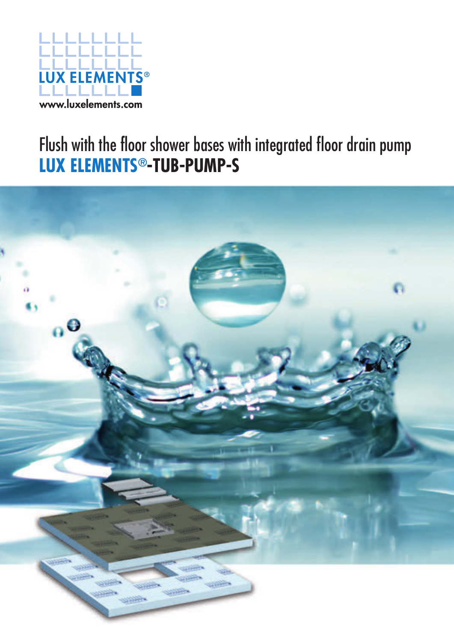

### Flush with the floor shower bases with integrated floor drain pump **LUX ELEMENTS®-TUB-PUMP-S**

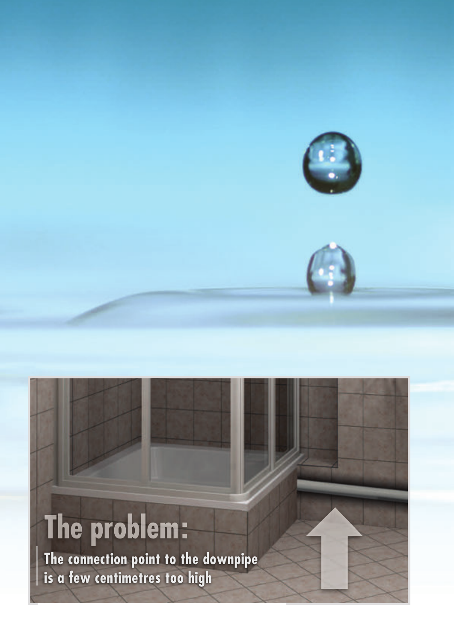# The problem:

**The connection point to the downpipe is a few centimetres too high**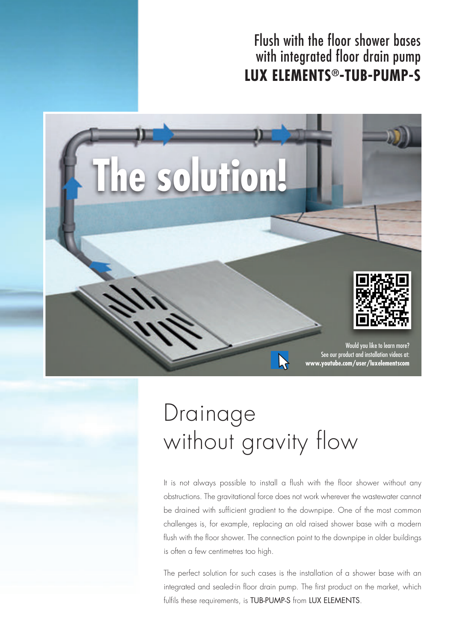#### Flush with the floor shower bases with integrated floor drain pump **LUX ELEMENTS®-TUB-PUMP-S**



### Drainage without gravity flow

It is not always possible to install a flush with the floor shower without any obstructions. The gravitational force does not work wherever the wastewater cannot be drained with sufficient gradient to the downpipe. One of the most common challenges is, for example, replacing an old raised shower base with a modern flush with the floor shower. The connection point to the downpipe in older buildings is often a few centimetres too high.

The perfect solution for such cases is the installation of a shower base with an integrated and sealed-in floor drain pump. The first product on the market, which fulfils these requirements, is TUB-PUMP-S from LUX ELEMENTS.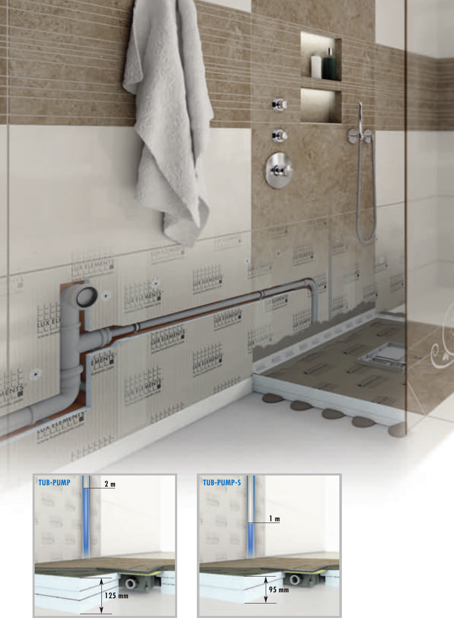



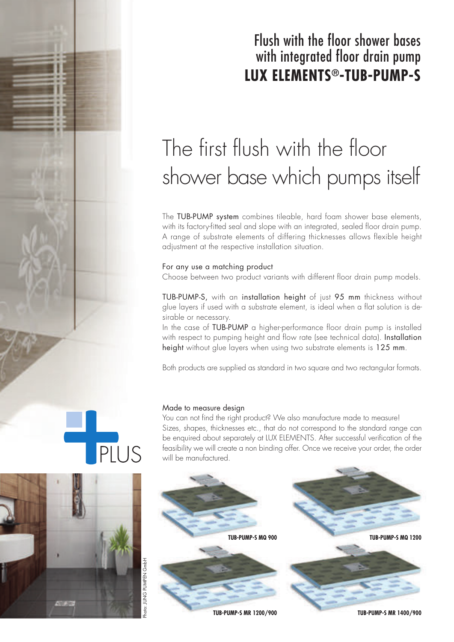### Flush with the floor shower bases with integrated floor drain pump **LUX ELEMENTS®-TUB-PUMP-S**

### The first flush with the floor shower base which pumps itself

The TUB-PUMP system combines tileable, hard foam shower base elements, with its factory-fitted seal and slope with an integrated, sealed floor drain pump. A range of substrate elements of differing thicknesses allows flexible height adjustment at the respective installation situation.

#### For any use a matching product

Choose between two product variants with different floor drain pump models.

TUB-PUMP-S, with an installation height of just 95 mm thickness without glue layers if used with a substrate element, is ideal when a flat solution is desirable or necessary.

In the case of TUB-PUMP a higher-performance floor drain pump is installed with respect to pumping height and flow rate (see technical data). Installation height without glue layers when using two substrate elements is 125 mm.

Both products are supplied as standard in two square and two rectangular formats.

#### Made to measure design

You can not find the right product? We also manufacture made to measure! Sizes, shapes, thicknesses etc., that do not correspond to the standard range can be enquired about separately at LUX ELEMENTS. After successful verification of the feasibility we will create a non binding offer. Once we receive your order, the order will be manufactured.



PLUS



**JUNG PUMPEN GmbH** 

Photo: JUNG PUMPEN GmbH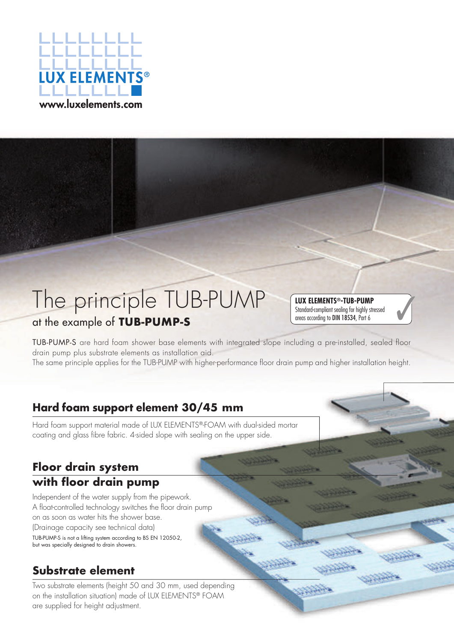

### The principle TUB-PUMP at the example of **TUB-PUMP-S**

#### **LUX ELEMENTS®-TUB-PUMP** Standard-compliant sealing for highly stressed areas according to DIN 18534, Part 6



The same principle applies for the TUB-PUMP with higher-performance floor drain pump and higher installation height.

#### **Hard foam support element 30/45 mm**

Hard foam support material made of LUX ELEMENTS®-FOAM with dual-sided mortar coating and glass fibre fabric. 4-sided slope with sealing on the upper side.

#### **Floor drain system with floor drain pump**

Independent of the water supply from the pipework. A float-controlled technology switches the floor drain pump on as soon as water hits the shower base. (Drainage capacity see technical data) TUB-PUMP-S is not a lifting system according to BS EN 12050-2, but was specially designed to drain showers.

#### **Substrate element**

Two substrate elements (height 50 and 30 mm, used depending on the installation situation) made of LUX ELEMENTS® FOAM are supplied for height adjustment.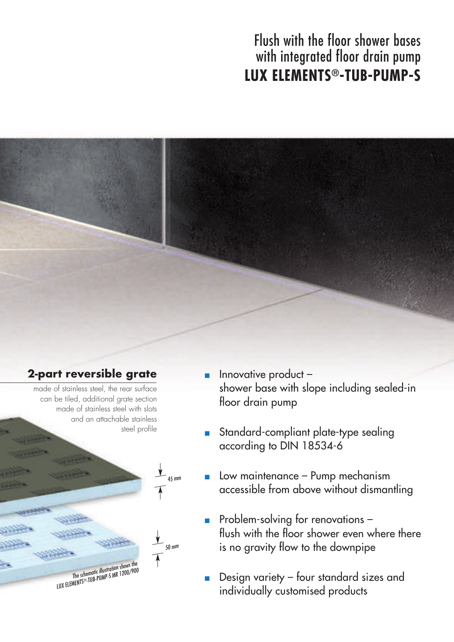### Flush with the floor shower bases with integrated floor drain pump **LUX ELEMENTS®-TUB-PUMP-S**



#### **2-part reversible grate**

made of stainless steel, the rear surface can be tiled, additional grate section made of stainless steel with slots and an attachable stainless steel profile

> The schematic illustration shows the Ine scnematic Illustration snows the line scnematic Illustration snows the line schematic Illustration is a the line street of the line street in the line street in the line street in the line street in the line street in

50 mm

45 mm

- Innovative product shower base with slope including sealed-in floor drain pump
- Standard-compliant plate-type sealing according to DIN 18534-6
- Low maintenance Pump mechanism accessible from above without dismantling
- **Problem-solving for renovations**  flush with the floor shower even where there is no gravity flow to the downpipe
- Design variety four standard sizes and individually customised products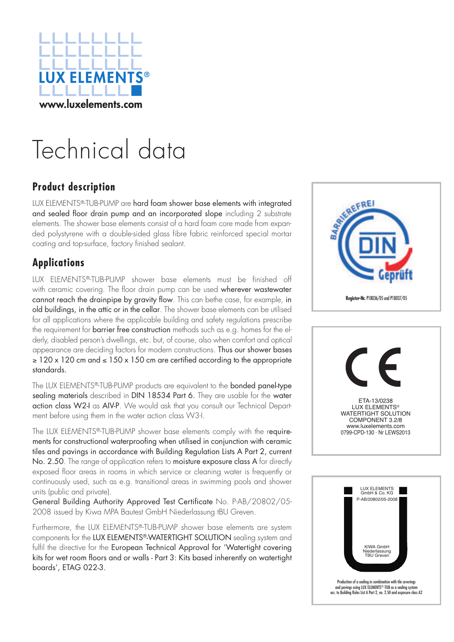

### Technical data

#### **Product description**

LUX ELEMENTS®-TUB-PUMP are hard foam shower base elements with integrated and sealed floor drain pump and an incorporated slope including 2 substrate elements. The shower base elements consist of a hard foam core made from expanded polystyrene with a double-sided glass fibre fabric reinforced special mortar coating and top-surface, factory finished sealant.

#### **Applications**

LUX ELEMENTS®-TUB-PUMP shower base elements must be finished off with ceramic covering. The floor drain pump can be used wherever wastewater cannot reach the drainpipe by gravity flow. This can bethe case, for example, in old buildings, in the attic or in the cellar. The shower base elements can be utilised for all applications where the applicable building and safety regulations prescribe the requirement for barrier free construction methods such as e.g. homes for the elderly, disabled person's dwellings, etc. but, of course, also when comfort and optical appearance are deciding factors for modern constructions. Thus our shower bases  $\geq$  120 x 120 cm and  $\leq$  150 x 150 cm are certified according to the appropriate standards.

The LUX ELEMENTS®-TUB-PUMP products are equivalent to the bonded panel-type sealing materials described in DIN 18534 Part 6. They are usable for the water action class W2-I as AIV-P. We would ask that you consult our Technical Department before using them in the water action class W3-I.

The LUX ELEMENTS®-TUB-PUMP shower base elements comply with the requirements for constructional waterproofing when utilised in conjunction with ceramic tiles and pavings in accordance with Building Regulation Lists A Part 2, current No. 2.50. The range of application refers to moisture exposure class A for directly exposed floor areas in rooms in which service or cleaning water is frequently or continuously used, such as e.g. transitional areas in swimming pools and shower units (public and private).

General Building Authority Approved Test Certificate No. P-AB/20802/05- 2008 issued by Kiwa MPA Bautest GmbH Niederlassung tBU Greven.

Furthermore, the LUX ELEMENTS®-TUB-PUMP shower base elements are system components for the LUX ELEMENTS®-WATERTIGHT SOLUTION sealing system and fulfil the directive for the European Technical Approval for 'Watertight covering kits for wet room floors and or walls - Part 3: Kits based inherently on watertight boards', ETAG 022-3.



ETA-13/0238 LUX ELEMENTS® WATERTIGHT SOLUTION COMPONENT 3.2/8 www.luxelements.com 0799-CPD-130 · Nr LEWS2013

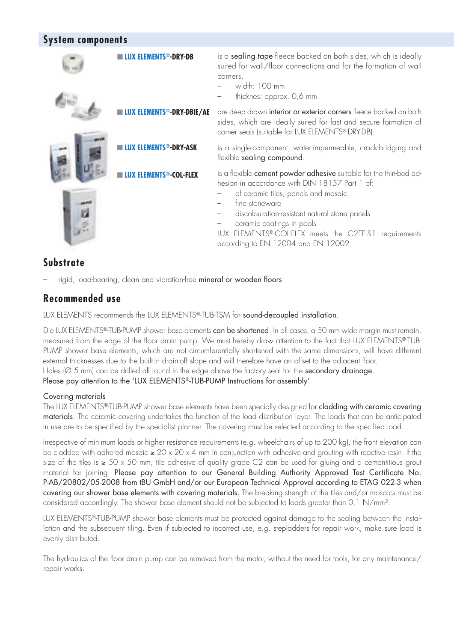#### **System components**

| <b>UX ELEMENTS®-DRY-DB</b>      | is a sealing tape fleece backed on both sides, which is ideally<br>suited for wall/floor connections and for the formation of wall<br>corners.<br>width: 100 mm<br>thicknes: approx. 0,6 mm                                                                                                                                                                |
|---------------------------------|------------------------------------------------------------------------------------------------------------------------------------------------------------------------------------------------------------------------------------------------------------------------------------------------------------------------------------------------------------|
| <b>JX ELEMENTS®-DRY-DBIE/AE</b> | are deep drawn interior or exterior corners fleece backed on both<br>sides, which are ideally suited for fast and secure formation of<br>corner seals (suitable for LUX ELEMENTS®-DRY-DB).                                                                                                                                                                 |
| <b>ITS®-DRY-ASK</b>             | is a single-component, water-impermeable, crack-bridging and<br>flexible sealing compound.                                                                                                                                                                                                                                                                 |
| <b>TS®-COL-FLEX</b>             | is a flexible cement powder adhesive suitable for the thin-bed ad-<br>hesion in accordance with DIN 18157 Part 1 of:<br>of ceramic tiles, panels and mosaic<br>fine stoneware<br>discolouration-resistant natural stone panels<br>ceramic coatings in pools<br>LUX ELEMENTS®-COL-FLEX meets the C2TE-S1 requirements<br>according to EN 12004 and EN 12002 |

#### **Substrate**

– rigid, load-bearing, clean and vibration-free mineral or wooden floors

#### **Recommended use**

LUX ELEMENTS recommends the LUX ELEMENTS®-TUB-TSM for sound-decoupled installation.

Die LUX ELEMENTS®-TUB-PUMP shower base elements can be shortened. In all cases, a 50 mm wide margin must remain, measured from the edge of the floor drain pump. We must hereby draw attention to the fact that LUX ELEMENTS®-TUB-PUMP shower base elements, which are not circumferentially shortened with the same dimensions, will have different external thicknesses due to the built-in drain-off slope and will therefore have an offset to the adjacent floor. Holes ( $\varnothing$  5 mm) can be drilled all round in the edge above the factory seal for the secondary drainage. Please pay attention to the 'LUX ELEMENTS®-TUB-PUMP Instructions for assembly'

#### Covering materials

The LUX ELEMENTS®-TUB-PUMP shower base elements have been specially designed for cladding with ceramic covering materials. The ceramic covering undertakes the function of the load distribution layer. The loads that can be anticipated in use are to be specified by the specialist planner. The covering must be selected according to the specified load.

Irrespective of minimum loads or higher resistance requirements (e.g. wheelchairs of up to 200 kg), the front elevation can be cladded with adhered mosaic  $\geq 20 \times 20 \times 4$  mm in conjunction with adhesive and grouting with reactive resin. If the size of the tiles is ≥ 50 x 50 mm, tile adhesive of quality grade C2 can be used for gluing and a cementitious grout material for joining. Please pay attention to our General Building Authority Approved Test Certificate No. P-AB/20802/05-2008 from tBU GmbH and/or our European Technical Approval according to ETAG 022-3 when covering our shower base elements with covering materials. The breaking strength of the tiles and/or mosaics must be considered accordingly. The shower base element should not be subjected to loads greater than 0,1 N/mm².

LUX ELEMENTS®-TUB-PUMP shower base elements must be protected against damage to the sealing between the installation and the subsequent tiling. Even if subjected to incorrect use, e.g. stepladders for repair work, make sure load is evenly distributed.

The hydraulics of the floor drain pump can be removed from the motor, without the need for tools, for any maintenance/ repair works.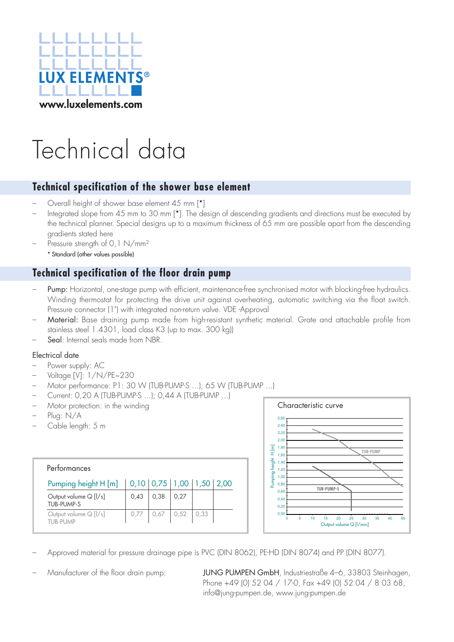

## Technical data

#### **Technical specification of the shower base element**

- Overall height of shower base element 45 mm [\*]
- Integrated slope from 45 mm to 30 mm [\*]. The design of descending gradients and directions must be executed by the technical planner. Special designs up to a maximum thickness of 65 mm are possible apart from the descending gradients stated here
- Pressure strength of 0,1 N/mm<sup>2</sup> \* Standard (other values possible)

#### **Technical specification of the floor drain pump**

- Pump: Horizontal, one-stage pump with efficient, maintenance-free synchronised motor with blocking-free hydraulics. Winding thermostat for protecting the drive unit against overheating, automatic switching via the float switch. Pressure connector (1") with integrated non-return valve. VDE -Approval
- Material: Base draining pump made from high-resistant synthetic material. Grate and attachable profile from stainless steel 1.4301, load class K3 (up to max. 300 kg))
- Seal: Internal seals made from NBR.

#### Electrical date

- Power supply: AC
- Voltage [V]: 1/N/PE~230
- Motor performance: P1: 30 W (TUB-PUMP-S ...); 65 W (TUB-PUMP ...)
- Current: 0,20 A (TUB-PUMP-S ...); 0,44 A (TUB-PUMP ...)
- Motor protection: in the winding
- Plug: N/A
- Cable length: 5 m

### **Performances**<br>
Performances<br>
Pumping height H [m]  $\begin{array}{|l|l|l|}\n\hline\n0,10 & 0,75 & 1,00 & 1,50 & 2,00 \\
\hline\n0,0,0 & 0,43 & 0.38 & 0.27 & 0.52 & 0.33 \\
\hline\n0,0,0,0 & 0.52 & 0.33 & 0.52 & 0.33 \\
\hline\n\end{array}$ <br>
Duput volume Q [I/s] 0.43 0.52 0.5 Pumping height H [m] | 0,10 | 0,75 | 1,00 | 1,50 | 2,00 Output volume Q  $[1/s]$   $0,43$   $0,38$   $0,27$ TUB-PUMP-S Output volume Q [l/s] 0,77 0,67 0,52 0,33 TUB-PUMP Performances



- Approved material for pressure drainage pipe is PVC (DIN 8062), PE-HD (DIN 8074) and PP (DIN 8077).
- 

– Manufacturer of the floor drain pump: JUNG PUMPEN GmbH, Industriestraße 4–6, 33803 Steinhagen, Phone +49 (0) 52 04 / 17-0, Fax +49 (0) 52 04 / 8 03 68,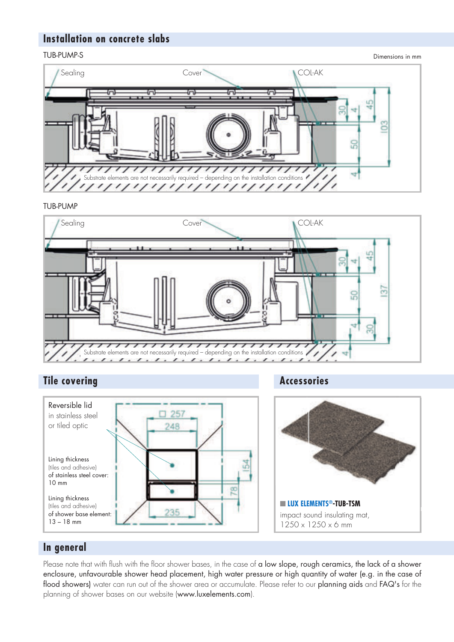#### **Installation on concrete slabs**

#### TUB-PUMP-S

Dimensions in mm



#### TUB-PUMP



#### **Tile covering Tile covering Accessories**





#### **In general**

Please note that with flush with the floor shower bases, in the case of a low slope, rough ceramics, the lack of a shower enclosure, unfavourable shower head placement, high water pressure or high quantity of water (e.g. in the case of flood showers) water can run out of the shower area or accumulate. Please refer to our planning aids and FAQ's for the planning of shower bases on our website (www.luxelements.com).